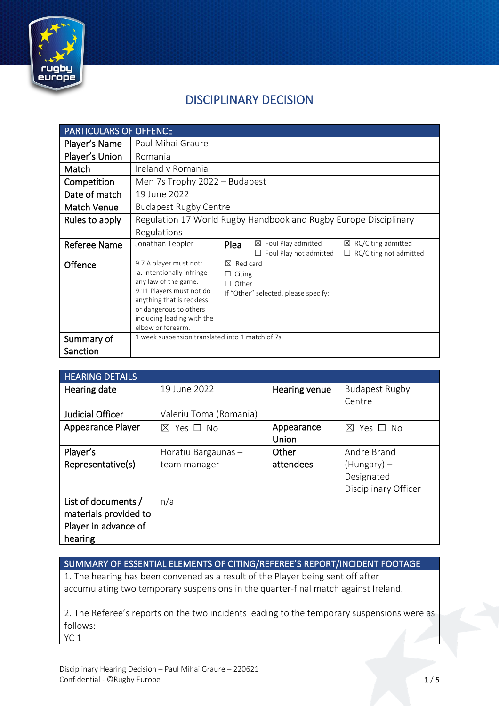

### DISCIPLINARY DECISION

| <b>PARTICULARS OF OFFENCE</b> |                                                                                                                                                                                                                   |                                                                                        |                                                   |                                                   |
|-------------------------------|-------------------------------------------------------------------------------------------------------------------------------------------------------------------------------------------------------------------|----------------------------------------------------------------------------------------|---------------------------------------------------|---------------------------------------------------|
| Player's Name                 | Paul Mihai Graure                                                                                                                                                                                                 |                                                                                        |                                                   |                                                   |
| Player's Union                | Romania                                                                                                                                                                                                           |                                                                                        |                                                   |                                                   |
| Match                         | Ireland v Romania                                                                                                                                                                                                 |                                                                                        |                                                   |                                                   |
| Competition                   | Men 7s Trophy 2022 - Budapest                                                                                                                                                                                     |                                                                                        |                                                   |                                                   |
| Date of match                 | 19 June 2022                                                                                                                                                                                                      |                                                                                        |                                                   |                                                   |
| <b>Match Venue</b>            | <b>Budapest Rugby Centre</b>                                                                                                                                                                                      |                                                                                        |                                                   |                                                   |
| Rules to apply                | Regulation 17 World Rugby Handbook and Rugby Europe Disciplinary                                                                                                                                                  |                                                                                        |                                                   |                                                   |
|                               | Regulations                                                                                                                                                                                                       |                                                                                        |                                                   |                                                   |
| <b>Referee Name</b>           | Jonathan Teppler                                                                                                                                                                                                  | Plea                                                                                   | Foul Play admitted<br>⊠<br>Foul Play not admitted | RC/Citing admitted<br>⊠<br>RC/Citing not admitted |
| Offence                       | 9.7 A player must not:<br>a. Intentionally infringe<br>any law of the game.<br>9.11 Players must not do<br>anything that is reckless<br>or dangerous to others<br>including leading with the<br>elbow or forearm. | ⊠<br>Red card<br>$\Box$ Citing<br>$\Box$ Other<br>If "Other" selected, please specify: |                                                   |                                                   |
| Summary of                    | 1 week suspension translated into 1 match of 7s.                                                                                                                                                                  |                                                                                        |                                                   |                                                   |
| Sanction                      |                                                                                                                                                                                                                   |                                                                                        |                                                   |                                                   |

| <b>HEARING DETAILS</b>   |                           |               |                           |
|--------------------------|---------------------------|---------------|---------------------------|
| Hearing date             | 19 June 2022              | Hearing venue | <b>Budapest Rugby</b>     |
|                          |                           |               | Centre                    |
| <b>Judicial Officer</b>  | Valeriu Toma (Romania)    |               |                           |
| <b>Appearance Player</b> | $\boxtimes$ Yes $\Box$ No | Appearance    | $\boxtimes$ Yes $\Box$ No |
|                          |                           | Union         |                           |
| Player's                 | Horatiu Bargaunas-        | Other         | Andre Brand               |
| Representative(s)        | team manager              | attendees     | $(Hungary)$ –             |
|                          |                           |               | Designated                |
|                          |                           |               | Disciplinary Officer      |
| List of documents /      | n/a                       |               |                           |
| materials provided to    |                           |               |                           |
| Player in advance of     |                           |               |                           |
| hearing                  |                           |               |                           |

SUMMARY OF ESSENTIAL ELEMENTS OF CITING/REFEREE'S REPORT/INCIDENT FOOTAGE

1. The hearing has been convened as a result of the Player being sent off after accumulating two temporary suspensions in the quarter-final match against Ireland.

2. The Referee's reports on the two incidents leading to the temporary suspensions were as follows:

YC<sub>1</sub>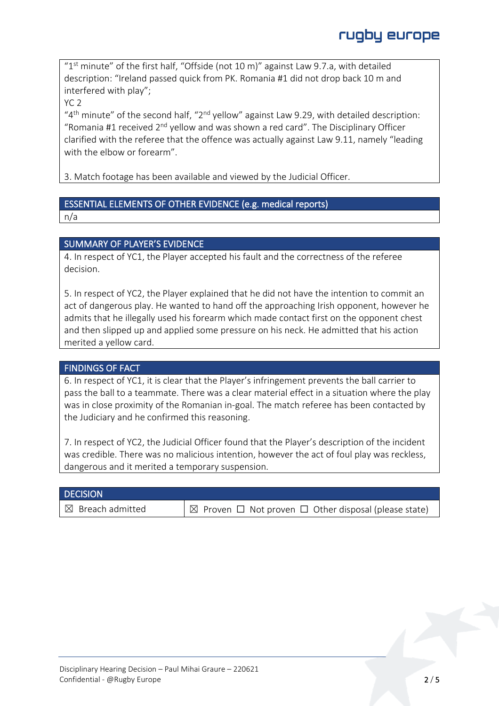" $1<sup>st</sup>$  minute" of the first half, "Offside (not 10 m)" against Law 9.7.a, with detailed description: "Ireland passed quick from PK. Romania #1 did not drop back 10 m and interfered with play";

YC 2

" $4<sup>th</sup>$  minute" of the second half, " $2<sup>nd</sup>$  yellow" against Law 9.29, with detailed description: "Romania #1 received  $2^{nd}$  yellow and was shown a red card". The Disciplinary Officer clarified with the referee that the offence was actually against Law 9.11, namely "leading with the elbow or forearm".

3. Match footage has been available and viewed by the Judicial Officer.

### ESSENTIAL ELEMENTS OF OTHER EVIDENCE (e.g. medical reports)

n/a

### SUMMARY OF PLAYER'S EVIDENCE

4. In respect of YC1, the Player accepted his fault and the correctness of the referee decision.

5. In respect of YC2, the Player explained that he did not have the intention to commit an act of dangerous play. He wanted to hand off the approaching Irish opponent, however he admits that he illegally used his forearm which made contact first on the opponent chest and then slipped up and applied some pressure on his neck. He admitted that his action merited a yellow card.

#### FINDINGS OF FACT

6. In respect of YC1, it is clear that the Player's infringement prevents the ball carrier to pass the ball to a teammate. There was a clear material effect in a situation where the play was in close proximity of the Romanian in-goal. The match referee has been contacted by the Judiciary and he confirmed this reasoning.

7. In respect of YC2, the Judicial Officer found that the Player's description of the incident was credible. There was no malicious intention, however the act of foul play was reckless, dangerous and it merited a temporary suspension.

| <b>DECISION</b>             |                                                                      |
|-----------------------------|----------------------------------------------------------------------|
| $\boxtimes$ Breach admitted | $\Box$ Proven $\Box$ Not proven $\Box$ Other disposal (please state) |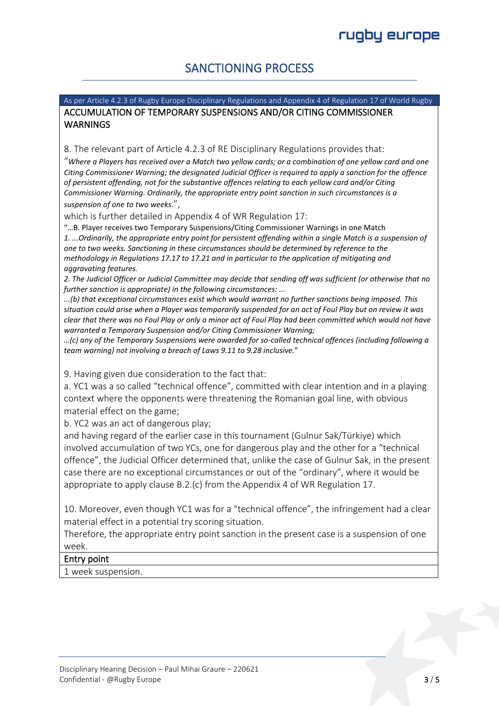### SANCTIONING PROCESS

As per Article 4.2.3 of Rugby Europe Disciplinary Regulations and Appendix 4 of Regulation 17 of World Rugby ACCUMULATION OF TEMPORARY SUSPENSIONS AND/OR CITING COMMISSIONER **WARNINGS** 

8. The relevant part of Article 4.2.3 of RE Disciplinary Regulations provides that:

"*Where a Players has received over a Match two yellow cards; or a combination of one yellow card and one Citing Commissioner Warning; the designated Judicial Officer is required to apply a sanction for the offence of persistent offending, not for the substantive offences relating to each yellow card and/or Citing Commissioner Warning. Ordinarily, the appropriate entry point sanction in such circumstances is a suspension of one to two weeks.*",

which is further detailed in Appendix 4 of WR Regulation 17:

"…B. Player receives two Temporary Suspensions/Citing Commissioner Warnings in one Match *1. ...Ordinarily, the appropriate entry point for persistent offending within a single Match is a suspension of one to two weeks. Sanctioning in these circumstances should be determined by reference to the methodology in Regulations 17.17 to 17.21 and in particular to the application of mitigating and aggravating features.*

*2. The Judicial Officer or Judicial Committee may decide that sending off was sufficient (or otherwise that no further sanction is appropriate) in the following circumstances: ...*

*...(b) that exceptional circumstances exist which would warrant no further sanctions being imposed. This situation could arise when a Player was temporarily suspended for an act of Foul Play but on review it was clear that there was no Foul Play or only a minor act of Foul Play had been committed which would not have warranted a Temporary Suspension and/or Citing Commissioner Warning;* 

*…(c) any of the Temporary Suspensions were awarded for so-called technical offences (including following a team warning) not involving a breach of Laws 9.11 to 9.28 inclusive.*"

9. Having given due consideration to the fact that:

a. YC1 was a so called "technical offence", committed with clear intention and in a playing context where the opponents were threatening the Romanian goal line, with obvious material effect on the game;

b. YC2 was an act of dangerous play;

and having regard of the earlier case in this tournament (Gulnur Sak/Türkiye) which involved accumulation of two YCs, one for dangerous play and the other for a "technical offence", the Judicial Officer determined that, unlike the case of Gulnur Sak, in the present case there are no exceptional circumstances or out of the "ordinary", where it would be appropriate to apply clause B.2.(c) from the Appendix 4 of WR Regulation 17.

10. Moreover, even though YC1 was for a "technical offence", the infringement had a clear material effect in a potential try scoring situation.

Therefore, the appropriate entry point sanction in the present case is a suspension of one week.

#### Entry point

1 week suspension.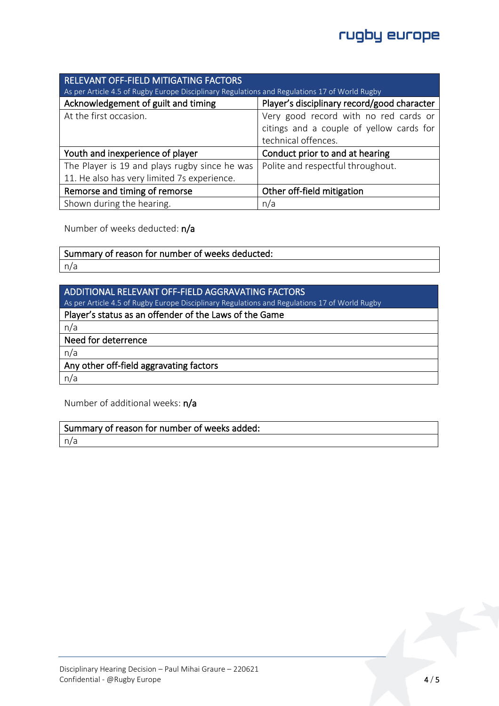## rugby europe

| <b>RELEVANT OFF-FIELD MITIGATING FACTORS</b>                                                  |                                             |  |
|-----------------------------------------------------------------------------------------------|---------------------------------------------|--|
| As per Article 4.5 of Rugby Europe Disciplinary Regulations and Regulations 17 of World Rugby |                                             |  |
| Acknowledgement of guilt and timing                                                           | Player's disciplinary record/good character |  |
| At the first occasion.                                                                        | Very good record with no red cards or       |  |
|                                                                                               | citings and a couple of yellow cards for    |  |
|                                                                                               | technical offences.                         |  |
| Youth and inexperience of player                                                              | Conduct prior to and at hearing             |  |
| The Player is 19 and plays rugby since he was                                                 | Polite and respectful throughout.           |  |
| 11. He also has very limited 7s experience.                                                   |                                             |  |
| Remorse and timing of remorse                                                                 | Other off-field mitigation                  |  |
| Shown during the hearing.                                                                     | n/a                                         |  |

Number of weeks deducted: n/a

# Summary of reason for number of weeks deducted:

n/a

| <b>ADDITIONAL RELEVANT OFF-FIELD AGGRAVATING FACTORS</b>                                      |
|-----------------------------------------------------------------------------------------------|
| As per Article 4.5 of Rugby Europe Disciplinary Regulations and Regulations 17 of World Rugby |
| Player's status as an offender of the Laws of the Game                                        |
| n/a                                                                                           |
| Need for deterrence                                                                           |
|                                                                                               |
| n/a                                                                                           |
| Any other off-field aggravating factors                                                       |
| n/a                                                                                           |

Number of additional weeks: n/a

Summary of reason for number of weeks added:

n/a